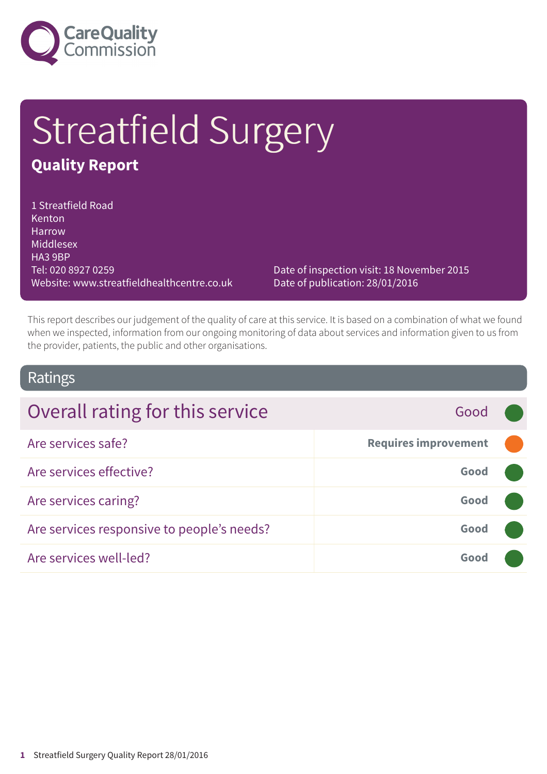

# Streatfield Surgery

### **Quality Report**

1 Streatfield Road **Kenton** Harrow Middlesex HA3 9BP Tel: 020 8927 0259 Website: www.streatfieldhealthcentre.co.uk

Date of inspection visit: 18 November 2015 Date of publication: 28/01/2016

This report describes our judgement of the quality of care at this service. It is based on a combination of what we found when we inspected, information from our ongoing monitoring of data about services and information given to us from the provider, patients, the public and other organisations.

### Ratings

| Overall rating for this service            | Good                        |  |
|--------------------------------------------|-----------------------------|--|
| Are services safe?                         | <b>Requires improvement</b> |  |
| Are services effective?                    | Good                        |  |
| Are services caring?                       | Good                        |  |
| Are services responsive to people's needs? | Good                        |  |
| Are services well-led?                     | Good                        |  |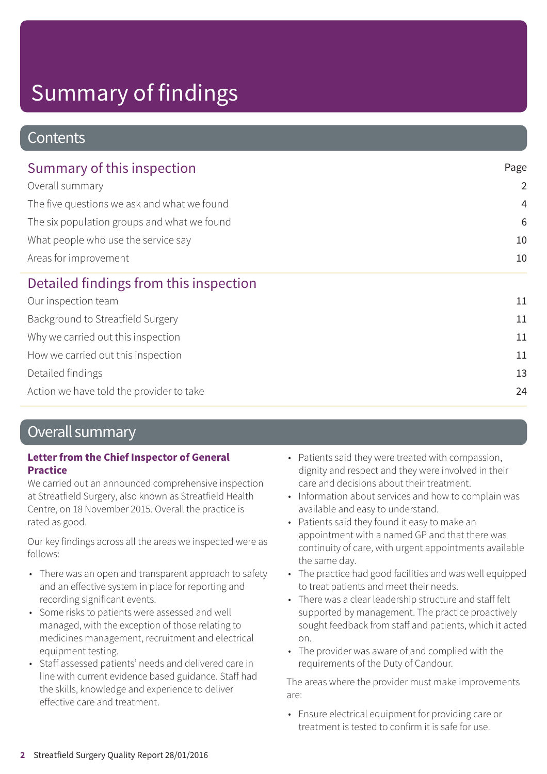### **Contents**

| Summary of this inspection                                                                                                                                                    | Page           |
|-------------------------------------------------------------------------------------------------------------------------------------------------------------------------------|----------------|
| Overall summary<br>The five questions we ask and what we found<br>The six population groups and what we found<br>What people who use the service say<br>Areas for improvement | $\overline{2}$ |
|                                                                                                                                                                               | $\overline{4}$ |
|                                                                                                                                                                               | 6              |
|                                                                                                                                                                               | 10             |
|                                                                                                                                                                               | 10             |
| Detailed findings from this inspection                                                                                                                                        |                |
| Our inspection team                                                                                                                                                           | 11             |
| Background to Streatfield Surgery                                                                                                                                             | 11             |
| Why we carried out this inspection                                                                                                                                            | 11             |
| How we carried out this inspection                                                                                                                                            | 11             |
| Detailed findings                                                                                                                                                             | 13             |
| Action we have told the provider to take                                                                                                                                      | 24             |

### Overall summary

#### **Letter from the Chief Inspector of General Practice**

We carried out an announced comprehensive inspection at Streatfield Surgery, also known as Streatfield Health Centre, on 18 November 2015. Overall the practice is rated as good.

Our key findings across all the areas we inspected were as follows:

- There was an open and transparent approach to safety and an effective system in place for reporting and recording significant events.
- Some risks to patients were assessed and well managed, with the exception of those relating to medicines management, recruitment and electrical equipment testing.
- Staff assessed patients' needs and delivered care in line with current evidence based guidance. Staff had the skills, knowledge and experience to deliver effective care and treatment.
- Patients said they were treated with compassion, dignity and respect and they were involved in their care and decisions about their treatment.
- Information about services and how to complain was available and easy to understand.
- Patients said they found it easy to make an appointment with a named GP and that there was continuity of care, with urgent appointments available the same day.
- The practice had good facilities and was well equipped to treat patients and meet their needs.
- There was a clear leadership structure and staff felt supported by management. The practice proactively sought feedback from staff and patients, which it acted on.
- The provider was aware of and complied with the requirements of the Duty of Candour.

The areas where the provider must make improvements are:

• Ensure electrical equipment for providing care or treatment is tested to confirm it is safe for use.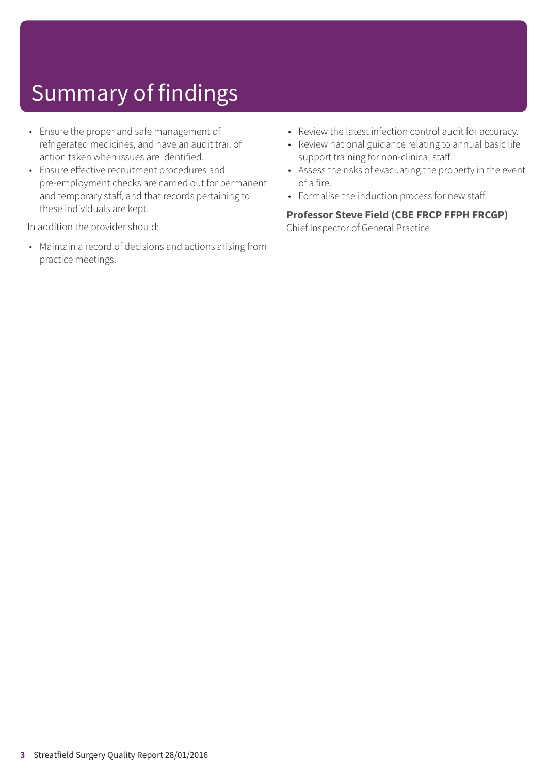- Ensure the proper and safe management of refrigerated medicines, and have an audit trail of action taken when issues are identified.
- Ensure effective recruitment procedures and pre-employment checks are carried out for permanent and temporary staff, and that records pertaining to these individuals are kept.

In addition the provider should:

• Maintain a record of decisions and actions arising from practice meetings.

- Review the latest infection control audit for accuracy.
- Review national guidance relating to annual basic life support training for non-clinical staff.
- Assess the risks of evacuating the property in the event of a fire.
- Formalise the induction process for new staff.

#### **Professor Steve Field (CBE FRCP FFPH FRCGP)**

Chief Inspector of General Practice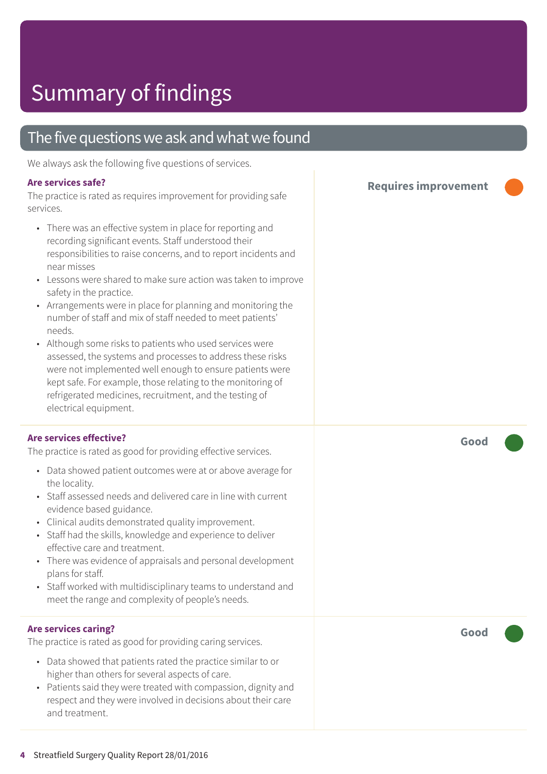### The five questions we ask and what we found

We always ask the following five questions of services.

#### **Are services safe?**

The practice is rated as requires improvement for providing safe services.

- There was an effective system in place for reporting and recording significant events. Staff understood their responsibilities to raise concerns, and to report incidents and near misses
- Lessons were shared to make sure action was taken to improve safety in the practice.
- Arrangements were in place for planning and monitoring the number of staff and mix of staff needed to meet patients' needs.
- Although some risks to patients who used services were assessed, the systems and processes to address these risks were not implemented well enough to ensure patients were kept safe. For example, those relating to the monitoring of refrigerated medicines, recruitment, and the testing of electrical equipment.

#### **Are services effective?**

The practice is rated as good for providing effective services.

- Data showed patient outcomes were at or above average for the locality.
- Staff assessed needs and delivered care in line with current evidence based guidance.
- Clinical audits demonstrated quality improvement.
- Staff had the skills, knowledge and experience to deliver effective care and treatment.
- There was evidence of appraisals and personal development plans for staff.
- Staff worked with multidisciplinary teams to understand and meet the range and complexity of people's needs.

#### **Are services caring?**

The practice is rated as good for providing caring services.

- Data showed that patients rated the practice similar to or higher than others for several aspects of care.
- Patients said they were treated with compassion, dignity and respect and they were involved in decisions about their care and treatment.

**Requires improvement –––**

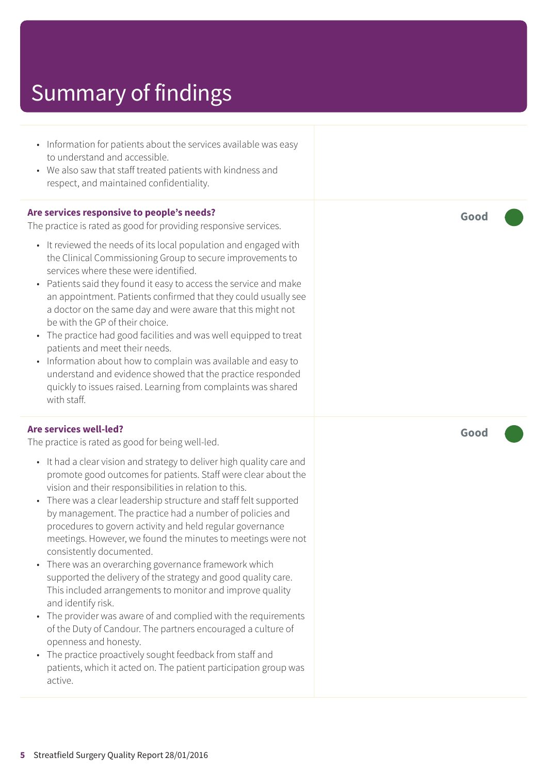- Information for patients about the services available was easy to understand and accessible.
- We also saw that staff treated patients with kindness and respect, and maintained confidentiality.

#### **Are services responsive to people's needs?**

The practice is rated as good for providing responsive services.

- It reviewed the needs of its local population and engaged with the Clinical Commissioning Group to secure improvements to services where these were identified.
- Patients said they found it easy to access the service and make an appointment. Patients confirmed that they could usually see a doctor on the same day and were aware that this might not be with the GP of their choice.
- The practice had good facilities and was well equipped to treat patients and meet their needs.
- Information about how to complain was available and easy to understand and evidence showed that the practice responded quickly to issues raised. Learning from complaints was shared with staff.

#### **Are services well-led?**

The practice is rated as good for being well-led.

- It had a clear vision and strategy to deliver high quality care and promote good outcomes for patients. Staff were clear about the vision and their responsibilities in relation to this.
- There was a clear leadership structure and staff felt supported by management. The practice had a number of policies and procedures to govern activity and held regular governance meetings. However, we found the minutes to meetings were not consistently documented.
- There was an overarching governance framework which supported the delivery of the strategy and good quality care. This included arrangements to monitor and improve quality and identify risk.
- The provider was aware of and complied with the requirements of the Duty of Candour. The partners encouraged a culture of openness and honesty.
- The practice proactively sought feedback from staff and patients, which it acted on. The patient participation group was active.

**Good –––**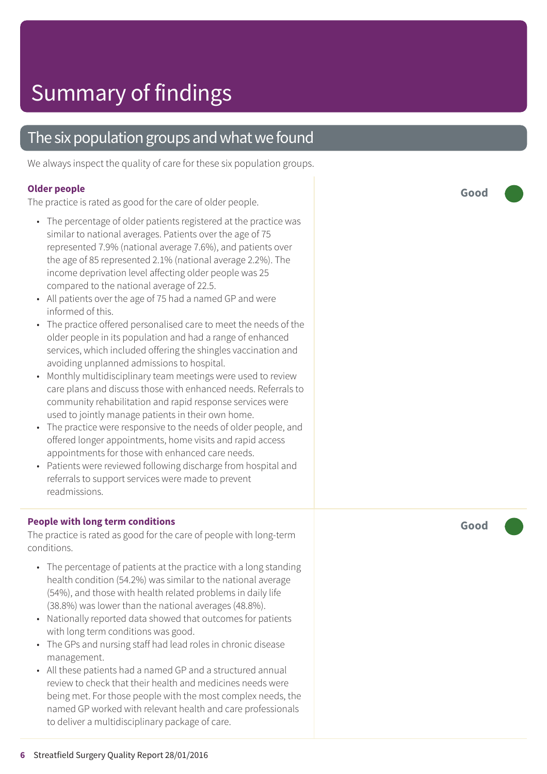### The six population groups and what we found

We always inspect the quality of care for these six population groups.

#### **Older people**

The practice is rated as good for the care of older people.

- The percentage of older patients registered at the practice was similar t o national averages. Patients over the ag e of 75 represented 7.9% (national averag e 7.6%), and patients over the ag e of 85 represented 2.1% (national averag e 2.2%). The income deprivation level affecting older people was 25 compared t o the national averag e of 22.5.
- All patients over the ag e of 75 had a named GP and wer e informed of this.
- The practice offered personalised care to meet the needs of the older people in its population and had a rang e of enhanced services, which included offering the shingles vaccination and avoiding unplanned admissions t o hospital.
- Monthly multidisciplinary team meetings were used to review car e plans and discuss those with enhanced needs. Referrals t o community rehabilitation and rapid response services wer e used t o jointly manag e patients in their own home.
- The practice were responsive to the needs of older people, and offered longer appointments, home visits and rapid ac cess appointments for those with enhanced car e needs.
- Patients were reviewed following discharge from hospital and referrals t o support services wer e made t o pr event r eadmissions.

#### **People with long term conditions**

The practice is rated as good for the care of people with long-term conditions.

- The percentage of patients at the practice with a long standing health condition (54.2%) was similar to the national average (54%), and those with health related problems in daily life (38.8%) was lower than the national averages (48.8%).
- Nationally reported data showed that outcomes for patients with long term conditions was good.
- The GP s and nursing staff had lead roles in chronic disease management.
- All these patients had a named GP and a structured annual review to check that their health and medicines needs were being me t. For those people with the most complex needs, the named GP worked with rele vant health and car e professionals t o deliver a multidisciplinar y packag e of care.

**Good –––**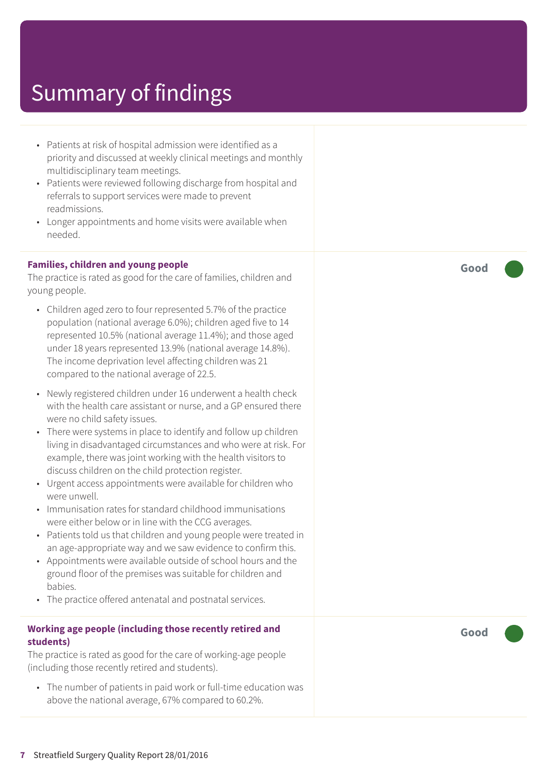- Patients at risk of hospital admission were identified as a priority and discussed at weekly clinical meetings and monthly multidisciplinary team meetings.
- Patients were reviewed following discharge from hospital and referrals to support services were made to prevent readmissions.
- Longer appointments and home visits were available when needed.

#### **Families, children and young people**

The practice is rated as good for the care of families, children and young people.

- Children aged zero to four represented 5.7% of the practice population (national average 6.0%); children aged five to 14 represented 10.5% (national average 11.4%); and those aged under 18 years represented 13.9% (national average 14.8%). The income deprivation level affecting children was 21 compared to the national average of 22.5.
- Newly registered children under 16 underwent a health check with the health care assistant or nurse, and a GP ensured there were no child safety issues.
- There were systems in place to identify and follow up children living in disadvantaged circumstances and who were at risk. For example, there was joint working with the health visitors to discuss children on the child protection register.
- Urgent access appointments were available for children who were unwell.
- Immunisation rates for standard childhood immunisations were either below or in line with the CCG averages.
- Patients told us that children and young people were treated in an age-appropriate way and we saw evidence to confirm this.
- Appointments were available outside of school hours and the ground floor of the premises was suitable for children and babies.
- The practice offered antenatal and postnatal services.

#### **Working age people (including those recently retired and students)**

The practice is rated as good for the care of working-age people (including those recently retired and students).

• The number of patients in paid work or full-time education was above the national average, 67% compared to 60.2%.

**Good –––**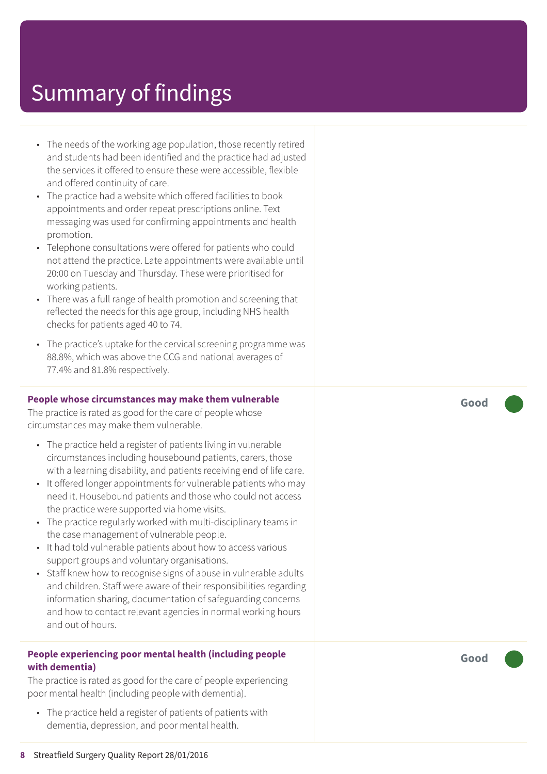- The needs of the working age population, those recently retired and students had been identified and the practice had adjusted the services it offered to ensure these were accessible, flexible and offered continuity of care.
- The practice had a website which offered facilities to book appointments and order repeat prescriptions online. Text messaging was used for confirming appointments and health promotion.
- Telephone consultations were offered for patients who could not attend the practice. Late appointments were available until 20:00 on Tuesday and Thursday. These were prioritised for working patients.
- There was a full range of health promotion and screening that reflected the needs for this age group, including NHS health checks for patients aged 40 to 74.
- The practice's uptake for the cervical screening programme was 88.8%, which was above the CCG and national averages of 77.4% and 81.8% respectively.

#### **People whose circumstances may make them vulnerable**

The practice is rated as good for the care of people whose circumstances may make them vulnerable.

- The practice held a register of patients living in vulnerable circumstances including housebound patients, carers, those with a learning disability, and patients receiving end of life care.
- It offered longer appointments for vulnerable patients who may need it. Housebound patients and those who could not access the practice were supported via home visits.
- The practice regularly worked with multi-disciplinary teams in the case management of vulnerable people.
- It had told vulnerable patients about how to access various support groups and voluntary organisations.
- Staff knew how to recognise signs of abuse in vulnerable adults and children. Staff were aware of their responsibilities regarding information sharing, documentation of safeguarding concerns and how to contact relevant agencies in normal working hours and out of hours.

#### **People experiencing poor mental health (including people with dementia)**

The practice is rated as good for the care of people experiencing poor mental health (including people with dementia).

• The practice held a register of patients of patients with dementia, depression, and poor mental health.

**Good –––**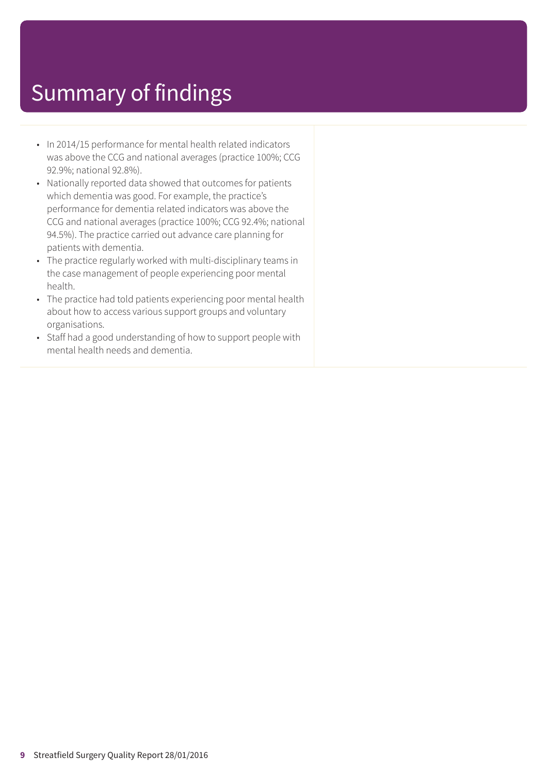- In 2014/15 performance for mental health related indicators was above the CCG and national averages (practice 100%; CCG 92.9%; national 92.8%).
- Nationally reported data showed that outcomes for patients which dementia was good. For example, the practice's performance for dementia related indicators was above the CCG and national averages (practice 100%; CCG 92.4%; national 94.5%). The practice carried out advance care planning for patients with dementia.
- The practice regularly worked with multi-disciplinary teams in the case management of people experiencing poor mental health.
- The practice had told patients experiencing poor mental health about how to access various support groups and voluntary organisations.
- Staff had a good understanding of how to support people with mental health needs and dementia.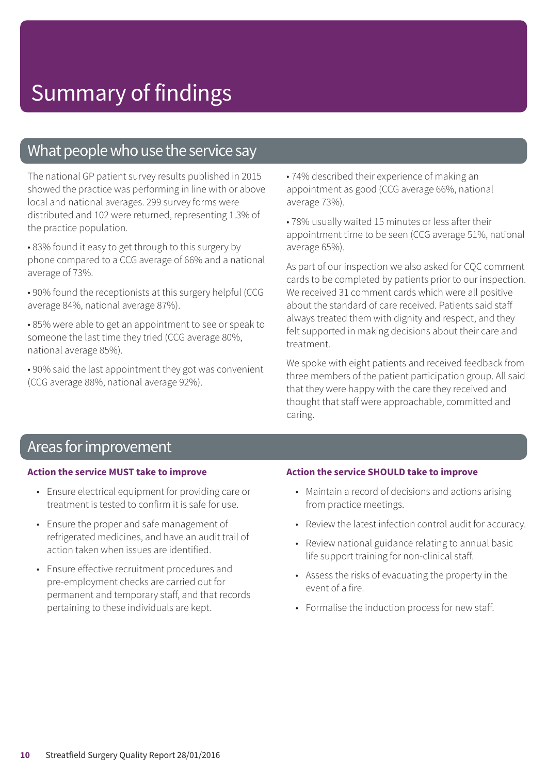### What people who use the service say

The national GP patient survey results published in 2015 showed the practice was performing in line with or above local and national averages. 299 survey forms were distributed and 102 were returned, representing 1.3% of the practice population.

• 83% found it easy to get through to this surgery by phone compared to a CCG average of 66% and a national average of 73%.

• 90% found the receptionists at this surgery helpful (CCG average 84%, national average 87%).

• 85% were able to get an appointment to see or speak to someone the last time they tried (CCG average 80%, national average 85%).

• 90% said the last appointment they got was convenient (CCG average 88%, national average 92%).

• 74% described their experience of making an appointment as good (CCG average 66%, national average 73%).

• 78% usually waited 15 minutes or less after their appointment time to be seen (CCG average 51%, national average 65%).

As part of our inspection we also asked for CQC comment cards to be completed by patients prior to our inspection. We received 31 comment cards which were all positive about the standard of care received. Patients said staff always treated them with dignity and respect, and they felt supported in making decisions about their care and treatment.

We spoke with eight patients and received feedback from three members of the patient participation group. All said that they were happy with the care they received and thought that staff were approachable, committed and caring.

### Areas for improvement

#### **Action the service MUST take to improve**

- Ensure electrical equipment for providing care or treatment is tested to confirm it is safe for use.
- Ensure the proper and safe management of refrigerated medicines, and have an audit trail of action taken when issues are identified.
- Ensure effective recruitment procedures and pre-employment checks are carried out for permanent and temporary staff, and that records pertaining to these individuals are kept.

#### **Action the service SHOULD take to improve**

- Maintain a record of decisions and actions arising from practice meetings.
- Review the latest infection control audit for accuracy.
- Review national guidance relating to annual basic life support training for non-clinical staff.
- Assess the risks of evacuating the property in the event of a fire.
- Formalise the induction process for new staff.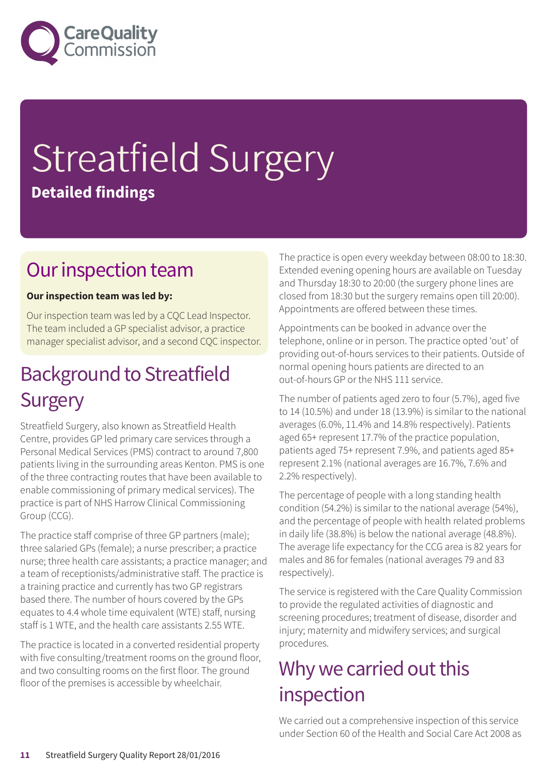

# Streatfield Surgery **Detailed findings**

### Our inspection team

#### **Our inspection team was led by:**

Our inspection team was led by a CQC Lead Inspector. The team included a GP specialist advisor, a practice manager specialist advisor, and a second CQC inspector.

### **Background to Streatfield Surgery**

Streatfield Surgery, also known as Streatfield Health Centre, provides GP led primary care services through a Personal Medical Services (PMS) contract to around 7,800 patients living in the surrounding areas Kenton. PMS is one of the three contracting routes that have been available to enable commissioning of primary medical services). The practice is part of NHS Harrow Clinical Commissioning Group (CCG).

The practice staff comprise of three GP partners (male); three salaried GPs (female); a nurse prescriber; a practice nurse; three health care assistants; a practice manager; and a team of receptionists/administrative staff. The practice is a training practice and currently has two GP registrars based there. The number of hours covered by the GPs equates to 4.4 whole time equivalent (WTE) staff, nursing staff is 1 WTE, and the health care assistants 2.55 WTE.

The practice is located in a converted residential property with five consulting/treatment rooms on the ground floor, and two consulting rooms on the first floor. The ground floor of the premises is accessible by wheelchair.

The practice is open every weekday between 08:00 to 18:30. Extended evening opening hours are available on Tuesday and Thursday 18:30 to 20:00 (the surgery phone lines are closed from 18:30 but the surgery remains open till 20:00). Appointments are offered between these times.

Appointments can be booked in advance over the telephone, online or in person. The practice opted 'out' of providing out-of-hours services to their patients. Outside of normal opening hours patients are directed to an out-of-hours GP or the NHS 111 service.

The number of patients aged zero to four (5.7%), aged five to 14 (10.5%) and under 18 (13.9%) is similar to the national averages (6.0%, 11.4% and 14.8% respectively). Patients aged 65+ represent 17.7% of the practice population, patients aged 75+ represent 7.9%, and patients aged 85+ represent 2.1% (national averages are 16.7%, 7.6% and 2.2% respectively).

The percentage of people with a long standing health condition (54.2%) is similar to the national average (54%), and the percentage of people with health related problems in daily life (38.8%) is below the national average (48.8%). The average life expectancy for the CCG area is 82 years for males and 86 for females (national averages 79 and 83 respectively).

The service is registered with the Care Quality Commission to provide the regulated activities of diagnostic and screening procedures; treatment of disease, disorder and injury; maternity and midwifery services; and surgical procedures.

### Why we carried out this inspection

We carried out a comprehensive inspection of this service under Section 60 of the Health and Social Care Act 2008 as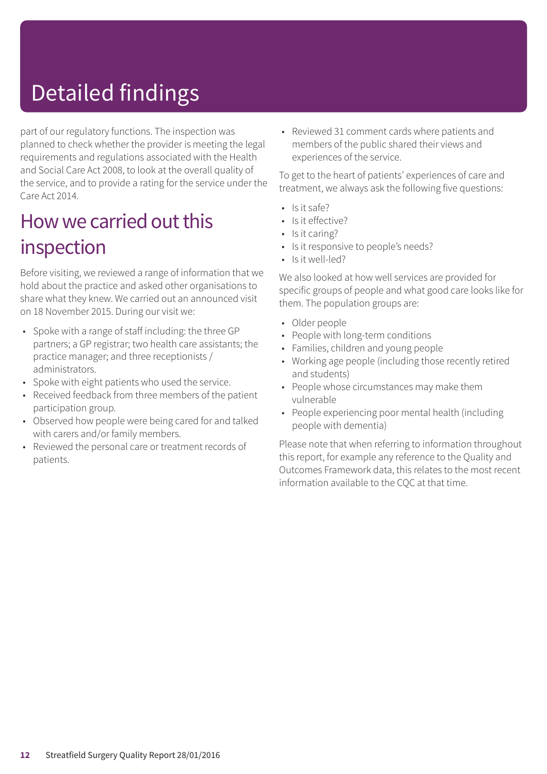# Detailed findings

part of our regulatory functions. The inspection was planned to check whether the provider is meeting the legal requirements and regulations associated with the Health and Social Care Act 2008, to look at the overall quality of the service, and to provide a rating for the service under the Care Act 2014.

### How we carried out this inspection

Before visiting, we reviewed a range of information that we hold about the practice and asked other organisations to share what they knew. We carried out an announced visit on 18 November 2015. During our visit we:

- Spoke with a range of staff including: the three GP partners; a GP registrar; two health care assistants; the practice manager; and three receptionists / administrators.
- Spoke with eight patients who used the service.
- Received feedback from three members of the patient participation group.
- Observed how people were being cared for and talked with carers and/or family members.
- Reviewed the personal care or treatment records of patients.

• Reviewed 31 comment cards where patients and members of the public shared their views and experiences of the service.

To get to the heart of patients' experiences of care and treatment, we always ask the following five questions:

- Is it safe?
- Is it effective?
- Is it caring?
- Is it responsive to people's needs?
- Is it well-led?

We also looked at how well services are provided for specific groups of people and what good care looks like for them. The population groups are:

- Older people
- People with long-term conditions
- Families, children and young people
- Working age people (including those recently retired and students)
- People whose circumstances may make them vulnerable
- People experiencing poor mental health (including people with dementia)

Please note that when referring to information throughout this report, for example any reference to the Quality and Outcomes Framework data, this relates to the most recent information available to the CQC at that time.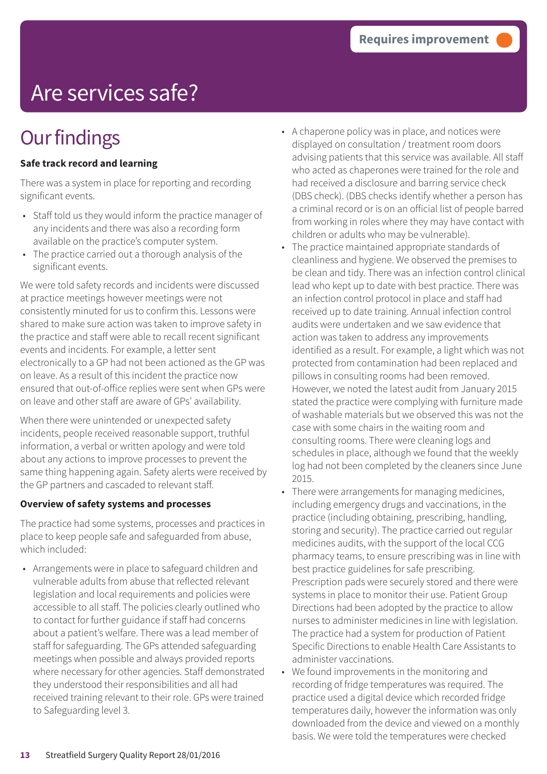# Are services safe?

### **Our findings**

#### **Safe track record and learning**

There was a system in place for reporting and recording significant events.

- Staff told us they would inform the practice manager of any incidents and there was also a recording form available on the practice's computer system.
- The practice carried out a thorough analysis of the significant events.

We were told safety records and incidents were discussed at practice meetings however meetings were not consistently minuted for us to confirm this. Lessons were shared to make sure action was taken to improve safety in the practice and staff were able to recall recent significant events and incidents. For example, a letter sent electronically to a GP had not been actioned as the GP was on leave. As a result of this incident the practice now ensured that out-of-office replies were sent when GPs were on leave and other staff are aware of GPs' availability.

When there were unintended or unexpected safety incidents, people received reasonable support, truthful information, a verbal or written apology and were told about any actions to improve processes to prevent the same thing happening again. Safety alerts were received by the GP partners and cascaded to relevant staff.

#### **Overview of safety systems and processes**

The practice had some systems, processes and practices in place to keep people safe and safeguarded from abuse, which included:

• Arrangements were in place to safeguard children and vulnerable adults from abuse that reflected relevant legislation and local requirements and policies were accessible to all staff. The policies clearly outlined who to contact for further guidance if staff had concerns about a patient's welfare. There was a lead member of staff for safeguarding. The GPs attended safeguarding meetings when possible and always provided reports where necessary for other agencies. Staff demonstrated they understood their responsibilities and all had received training relevant to their role. GPs were trained to Safeguarding level 3.

- A chaperone policy was in place, and notices were displayed on consultation / treatment room doors advising patients that this service was available. All staff who acted as chaperones were trained for the role and had received a disclosure and barring service check (DBS check). (DBS checks identify whether a person has a criminal record or is on an official list of people barred from working in roles where they may have contact with children or adults who may be vulnerable).
- The practice maintained appropriate standards of cleanliness and hygiene. We observed the premises to be clean and tidy. There was an infection control clinical lead who kept up to date with best practice. There was an infection control protocol in place and staff had received up to date training. Annual infection control audits were undertaken and we saw evidence that action was taken to address any improvements identified as a result. For example, a light which was not protected from contamination had been replaced and pillows in consulting rooms had been removed. However, we noted the latest audit from January 2015 stated the practice were complying with furniture made of washable materials but we observed this was not the case with some chairs in the waiting room and consulting rooms. There were cleaning logs and schedules in place, although we found that the weekly log had not been completed by the cleaners since June 2015.
- There were arrangements for managing medicines, including emergency drugs and vaccinations, in the practice (including obtaining, prescribing, handling, storing and security). The practice carried out regular medicines audits, with the support of the local CCG pharmacy teams, to ensure prescribing was in line with best practice guidelines for safe prescribing. Prescription pads were securely stored and there were systems in place to monitor their use. Patient Group Directions had been adopted by the practice to allow nurses to administer medicines in line with legislation. The practice had a system for production of Patient Specific Directions to enable Health Care Assistants to administer vaccinations.
- We found improvements in the monitoring and recording of fridge temperatures was required. The practice used a digital device which recorded fridge temperatures daily, however the information was only downloaded from the device and viewed on a monthly basis. We were told the temperatures were checked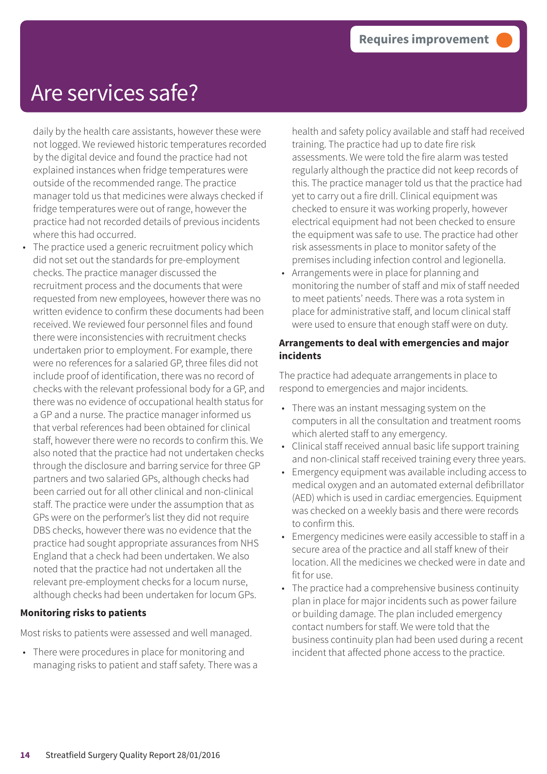### Are services safe?

daily by the health care assistants, however these were not logged. We reviewed historic temperatures recorded by the digital device and found the practice had not explained instances when fridge temperatures were outside of the recommended range. The practice manager told us that medicines were always checked if fridge temperatures were out of range, however the practice had not recorded details of previous incidents where this had occurred.

The practice used a generic recruitment policy which did not set out the standards for pre-employment checks. The practice manager discussed the recruitment process and the documents that were requested from new employees, however there was no written evidence to confirm these documents had been received. We reviewed four personnel files and found there were inconsistencies with recruitment checks undertaken prior to employment. For example, there were no references for a salaried GP, three files did not include proof of identification, there was no record of checks with the relevant professional body for a GP, and there was no evidence of occupational health status for a GP and a nurse. The practice manager informed us that verbal references had been obtained for clinical staff, however there were no records to confirm this. We also noted that the practice had not undertaken checks through the disclosure and barring service for three GP partners and two salaried GPs, although checks had been carried out for all other clinical and non-clinical staff. The practice were under the assumption that as GPs were on the performer's list they did not require DBS checks, however there was no evidence that the practice had sought appropriate assurances from NHS England that a check had been undertaken. We also noted that the practice had not undertaken all the relevant pre-employment checks for a locum nurse, although checks had been undertaken for locum GPs.

#### **Monitoring risks to patients**

Most risks to patients were assessed and well managed.

• There were procedures in place for monitoring and managing risks to patient and staff safety. There was a health and safety policy available and staff had received training. The practice had up to date fire risk assessments. We were told the fire alarm was tested regularly although the practice did not keep records of this. The practice manager told us that the practice had yet to carry out a fire drill. Clinical equipment was checked to ensure it was working properly, however electrical equipment had not been checked to ensure the equipment was safe to use. The practice had other risk assessments in place to monitor safety of the premises including infection control and legionella.

• Arrangements were in place for planning and monitoring the number of staff and mix of staff needed to meet patients' needs. There was a rota system in place for administrative staff, and locum clinical staff were used to ensure that enough staff were on duty.

#### **Arrangements to deal with emergencies and major incidents**

The practice had adequate arrangements in place to respond to emergencies and major incidents.

- There was an instant messaging system on the computers in all the consultation and treatment rooms which alerted staff to any emergency.
- Clinical staff received annual basic life support training and non-clinical staff received training every three years.
- Emergency equipment was available including access to medical oxygen and an automated external defibrillator (AED) which is used in cardiac emergencies. Equipment was checked on a weekly basis and there were records to confirm this.
- Emergency medicines were easily accessible to staff in a secure area of the practice and all staff knew of their location. All the medicines we checked were in date and fit for use.
- The practice had a comprehensive business continuity plan in place for major incidents such as power failure or building damage. The plan included emergency contact numbers for staff. We were told that the business continuity plan had been used during a recent incident that affected phone access to the practice.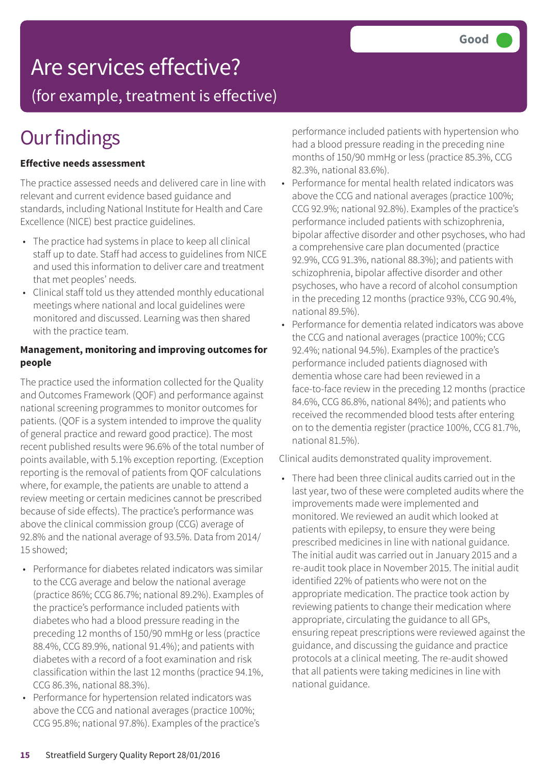### Are services effective?

(for example, treatment is effective)

### **Our findings**

#### **Effective needs assessment**

The practice assessed needs and delivered care in line with relevant and current evidence based guidance and standards, including National Institute for Health and Care Excellence (NICE) best practice guidelines.

- The practice had systems in place to keep all clinical staff up to date. Staff had access to guidelines from NICE and used this information to deliver care and treatment that met peoples' needs.
- Clinical staff told us they attended monthly educational meetings where national and local guidelines were monitored and discussed. Learning was then shared with the practice team.

#### **Management, monitoring and improving outcomes for people**

The practice used the information collected for the Quality and Outcomes Framework (QOF) and performance against national screening programmes to monitor outcomes for patients. (QOF is a system intended to improve the quality of general practice and reward good practice). The most recent published results were 96.6% of the total number of points available, with 5.1% exception reporting. (Exception reporting is the removal of patients from QOF calculations where, for example, the patients are unable to attend a review meeting or certain medicines cannot be prescribed because of side effects). The practice's performance was above the clinical commission group (CCG) average of 92.8% and the national average of 93.5%. Data from 2014/ 15 showed;

- Performance for diabetes related indicators was similar to the CCG average and below the national average (practice 86%; CCG 86.7%; national 89.2%). Examples of the practice's performance included patients with diabetes who had a blood pressure reading in the preceding 12 months of 150/90 mmHg or less (practice 88.4%, CCG 89.9%, national 91.4%); and patients with diabetes with a record of a foot examination and risk classification within the last 12 months (practice 94.1%, CCG 86.3%, national 88.3%).
- Performance for hypertension related indicators was above the CCG and national averages (practice 100%; CCG 95.8%; national 97.8%). Examples of the practice's

performance included patients with hypertension who had a blood pressure reading in the preceding nine months of 150/90 mmHg or less (practice 85.3%, CCG 82.3%, national 83.6%).

- Performance for mental health related indicators was above the CCG and national averages (practice 100%; CCG 92.9%; national 92.8%). Examples of the practice's performance included patients with schizophrenia, bipolar affective disorder and other psychoses, who had a comprehensive care plan documented (practice 92.9%, CCG 91.3%, national 88.3%); and patients with schizophrenia, bipolar affective disorder and other psychoses, who have a record of alcohol consumption in the preceding 12 months (practice 93%, CCG 90.4%, national 89.5%).
- Performance for dementia related indicators was above the CCG and national averages (practice 100%; CCG 92.4%; national 94.5%). Examples of the practice's performance included patients diagnosed with dementia whose care had been reviewed in a face-to-face review in the preceding 12 months (practice 84.6%, CCG 86.8%, national 84%); and patients who received the recommended blood tests after entering on to the dementia register (practice 100%, CCG 81.7%, national 81.5%).

Clinical audits demonstrated quality improvement.

• There had been three clinical audits carried out in the last year, two of these were completed audits where the improvements made were implemented and monitored. We reviewed an audit which looked at patients with epilepsy, to ensure they were being prescribed medicines in line with national guidance. The initial audit was carried out in January 2015 and a re-audit took place in November 2015. The initial audit identified 22% of patients who were not on the appropriate medication. The practice took action by reviewing patients to change their medication where appropriate, circulating the guidance to all GPs, ensuring repeat prescriptions were reviewed against the guidance, and discussing the guidance and practice protocols at a clinical meeting. The re-audit showed that all patients were taking medicines in line with national guidance.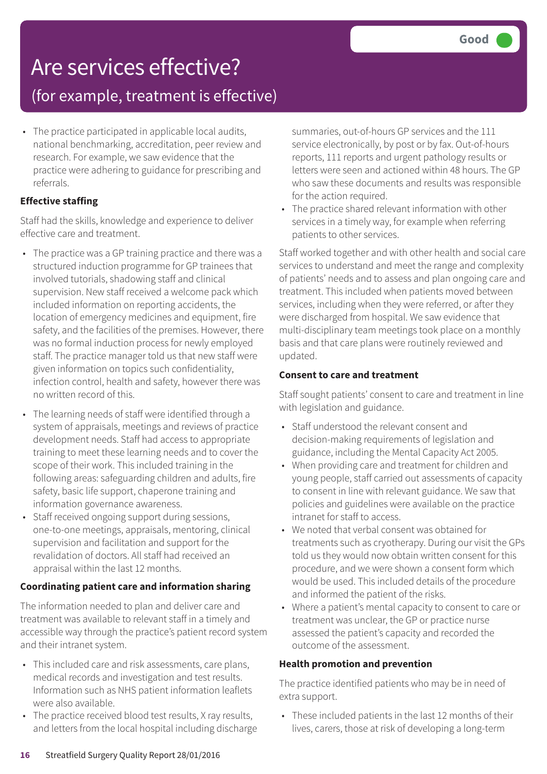# Are services effective?

### (for example, treatment is effective)

• The practice participated in applicable local audits, national benchmarking, accreditation, peer review and research. For example, we saw evidence that the practice were adhering to guidance for prescribing and referrals.

#### **Effective staffing**

Staff had the skills, knowledge and experience to deliver effective care and treatment.

- The practice was a GP training practice and there was a structured induction programme for GP trainees that involved tutorials, shadowing staff and clinical supervision. New staff received a welcome pack which included information on reporting accidents, the location of emergency medicines and equipment, fire safety, and the facilities of the premises. However, there was no formal induction process for newly employed staff. The practice manager told us that new staff were given information on topics such confidentiality, infection control, health and safety, however there was no written record of this.
- The learning needs of staff were identified through a system of appraisals, meetings and reviews of practice development needs. Staff had access to appropriate training to meet these learning needs and to cover the scope of their work. This included training in the following areas: safeguarding children and adults, fire safety, basic life support, chaperone training and information governance awareness.
- Staff received ongoing support during sessions, one-to-one meetings, appraisals, mentoring, clinical supervision and facilitation and support for the revalidation of doctors. All staff had received an appraisal within the last 12 months.

#### **Coordinating patient care and information sharing**

The information needed to plan and deliver care and treatment was available to relevant staff in a timely and accessible way through the practice's patient record system and their intranet system.

- This included care and risk assessments, care plans, medical records and investigation and test results. Information such as NHS patient information leaflets were also available.
- The practice received blood test results, X ray results, and letters from the local hospital including discharge

summaries, out-of-hours GP services and the 111 service electronically, by post or by fax. Out-of-hours reports, 111 reports and urgent pathology results or letters were seen and actioned within 48 hours. The GP who saw these documents and results was responsible for the action required.

• The practice shared relevant information with other services in a timely way, for example when referring patients to other services.

Staff worked together and with other health and social care services to understand and meet the range and complexity of patients' needs and to assess and plan ongoing care and treatment. This included when patients moved between services, including when they were referred, or after they were discharged from hospital. We saw evidence that multi-disciplinary team meetings took place on a monthly basis and that care plans were routinely reviewed and updated.

#### **Consent to care and treatment**

Staff sought patients' consent to care and treatment in line with legislation and guidance.

- Staff understood the relevant consent and decision-making requirements of legislation and guidance, including the Mental Capacity Act 2005.
- When providing care and treatment for children and young people, staff carried out assessments of capacity to consent in line with relevant guidance. We saw that policies and guidelines were available on the practice intranet for staff to access.
- We noted that verbal consent was obtained for treatments such as cryotherapy. During our visit the GPs told us they would now obtain written consent for this procedure, and we were shown a consent form which would be used. This included details of the procedure and informed the patient of the risks.
- Where a patient's mental capacity to consent to care or treatment was unclear, the GP or practice nurse assessed the patient's capacity and recorded the outcome of the assessment.

#### **Health promotion and prevention**

The practice identified patients who may be in need of extra support.

• These included patients in the last 12 months of their lives, carers, those at risk of developing a long-term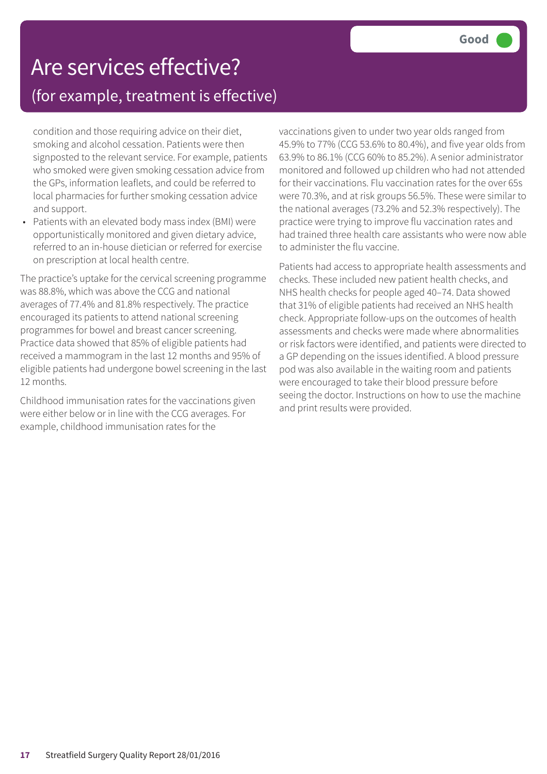### Are services effective? (for example, treatment is effective)

condition and those requiring advice on their diet, smoking and alcohol cessation. Patients were then signposted to the relevant service. For example, patients who smoked were given smoking cessation advice from the GPs, information leaflets, and could be referred to local pharmacies for further smoking cessation advice and support.

• Patients with an elevated body mass index (BMI) were opportunistically monitored and given dietary advice, referred to an in-house dietician or referred for exercise on prescription at local health centre.

The practice's uptake for the cervical screening programme was 88.8%, which was above the CCG and national averages of 77.4% and 81.8% respectively. The practice encouraged its patients to attend national screening programmes for bowel and breast cancer screening. Practice data showed that 85% of eligible patients had received a mammogram in the last 12 months and 95% of eligible patients had undergone bowel screening in the last 12 months.

Childhood immunisation rates for the vaccinations given were either below or in line with the CCG averages. For example, childhood immunisation rates for the

vaccinations given to under two year olds ranged from 45.9% to 77% (CCG 53.6% to 80.4%), and five year olds from 63.9% to 86.1% (CCG 60% to 85.2%). A senior administrator monitored and followed up children who had not attended for their vaccinations. Flu vaccination rates for the over 65s were 70.3%, and at risk groups 56.5%. These were similar to the national averages (73.2% and 52.3% respectively). The practice were trying to improve flu vaccination rates and had trained three health care assistants who were now able to administer the flu vaccine.

Patients had access to appropriate health assessments and checks. These included new patient health checks, and NHS health checks for people aged 40–74. Data showed that 31% of eligible patients had received an NHS health check. Appropriate follow-ups on the outcomes of health assessments and checks were made where abnormalities or risk factors were identified, and patients were directed to a GP depending on the issues identified. A blood pressure pod was also available in the waiting room and patients were encouraged to take their blood pressure before seeing the doctor. Instructions on how to use the machine and print results were provided.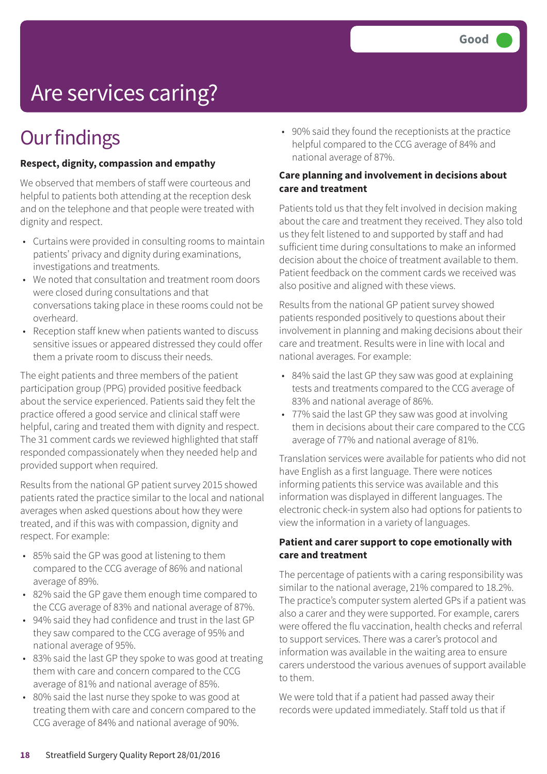# Are services caring?

### **Our findings**

#### **Respect, dignity, compassion and empathy**

We observed that members of staff were courteous and helpful to patients both attending at the reception desk and on the telephone and that people were treated with dignity and respect.

- Curtains were provided in consulting rooms to maintain patients' privacy and dignity during examinations, investigations and treatments.
- We noted that consultation and treatment room doors were closed during consultations and that conversations taking place in these rooms could not be overheard.
- Reception staff knew when patients wanted to discuss sensitive issues or appeared distressed they could offer them a private room to discuss their needs.

The eight patients and three members of the patient participation group (PPG) provided positive feedback about the service experienced. Patients said they felt the practice offered a good service and clinical staff were helpful, caring and treated them with dignity and respect. The 31 comment cards we reviewed highlighted that staff responded compassionately when they needed help and provided support when required.

Results from the national GP patient survey 2015 showed patients rated the practice similar to the local and national averages when asked questions about how they were treated, and if this was with compassion, dignity and respect. For example:

- 85% said the GP was good at listening to them compared to the CCG average of 86% and national average of 89%.
- 82% said the GP gave them enough time compared to the CCG average of 83% and national average of 87%.
- 94% said they had confidence and trust in the last GP they saw compared to the CCG average of 95% and national average of 95%.
- 83% said the last GP they spoke to was good at treating them with care and concern compared to the CCG average of 81% and national average of 85%.
- 80% said the last nurse they spoke to was good at treating them with care and concern compared to the CCG average of 84% and national average of 90%.

• 90% said they found the receptionists at the practice helpful compared to the CCG average of 84% and national average of 87%.

#### **Care planning and involvement in decisions about care and treatment**

Patients told us that they felt involved in decision making about the care and treatment they received. They also told us they felt listened to and supported by staff and had sufficient time during consultations to make an informed decision about the choice of treatment available to them. Patient feedback on the comment cards we received was also positive and aligned with these views.

Results from the national GP patient survey showed patients responded positively to questions about their involvement in planning and making decisions about their care and treatment. Results were in line with local and national averages. For example:

- 84% said the last GP they saw was good at explaining tests and treatments compared to the CCG average of 83% and national average of 86%.
- 77% said the last GP they saw was good at involving them in decisions about their care compared to the CCG average of 77% and national average of 81%.

Translation services were available for patients who did not have English as a first language. There were notices informing patients this service was available and this information was displayed in different languages. The electronic check-in system also had options for patients to view the information in a variety of languages.

#### **Patient and carer support to cope emotionally with care and treatment**

The percentage of patients with a caring responsibility was similar to the national average, 21% compared to 18.2%. The practice's computer system alerted GPs if a patient was also a carer and they were supported. For example, carers were offered the flu vaccination, health checks and referral to support services. There was a carer's protocol and information was available in the waiting area to ensure carers understood the various avenues of support available to them.

We were told that if a patient had passed away their records were updated immediately. Staff told us that if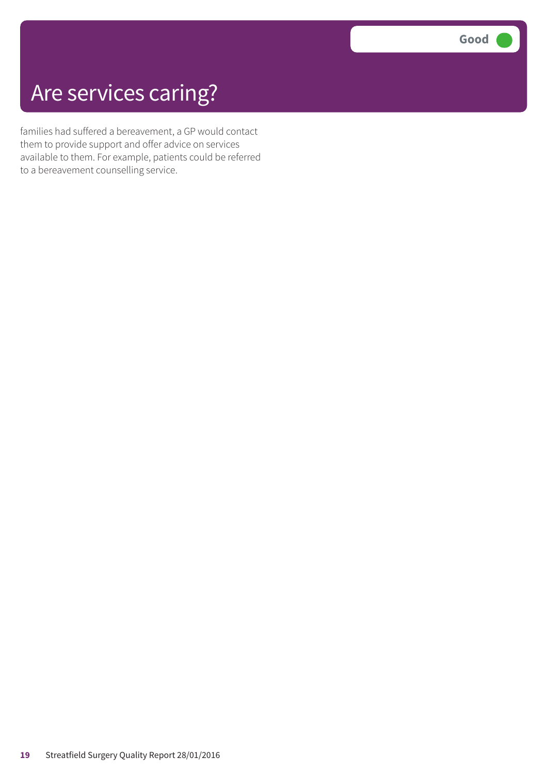### Are services caring?

families had suffered a bereavement, a GP would contact them to provide support and offer advice on services available to them. For example, patients could be referred to a bereavement counselling service.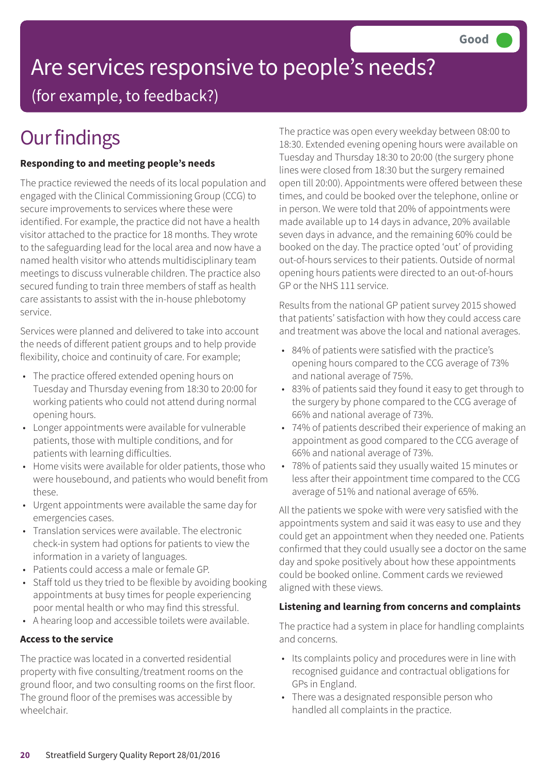### Are services responsive to people's needs? (for example, to feedback?)

# **Our findings**

#### **Responding to and meeting people's needs**

The practice reviewed the needs of its local population and engaged with the Clinical Commissioning Group (CCG) to secure improvements to services where these were identified. For example, the practice did not have a health visitor attached to the practice for 18 months. They wrote to the safeguarding lead for the local area and now have a named health visitor who attends multidisciplinary team meetings to discuss vulnerable children. The practice also secured funding to train three members of staff as health care assistants to assist with the in-house phlebotomy service.

Services were planned and delivered to take into account the needs of different patient groups and to help provide flexibility, choice and continuity of care. For example;

- The practice offered extended opening hours on Tuesday and Thursday evening from 18:30 to 20:00 for working patients who could not attend during normal opening hours.
- Longer appointments were available for vulnerable patients, those with multiple conditions, and for patients with learning difficulties.
- Home visits were available for older patients, those who were housebound, and patients who would benefit from these.
- Urgent appointments were available the same day for emergencies cases.
- Translation services were available. The electronic check-in system had options for patients to view the information in a variety of languages.
- Patients could access a male or female GP.
- Staff told us they tried to be flexible by avoiding booking appointments at busy times for people experiencing poor mental health or who may find this stressful.
- A hearing loop and accessible toilets were available.

#### **Access to the service**

The practice was located in a converted residential property with five consulting/treatment rooms on the ground floor, and two consulting rooms on the first floor. The ground floor of the premises was accessible by wheelchair.

The practice was open every weekday between 08:00 to 18:30. Extended evening opening hours were available on Tuesday and Thursday 18:30 to 20:00 (the surgery phone lines were closed from 18:30 but the surgery remained open till 20:00). Appointments were offered between these times, and could be booked over the telephone, online or in person. We were told that 20% of appointments were made available up to 14 days in advance, 20% available seven days in advance, and the remaining 60% could be booked on the day. The practice opted 'out' of providing out-of-hours services to their patients. Outside of normal opening hours patients were directed to an out-of-hours GP or the NHS 111 service.

Results from the national GP patient survey 2015 showed that patients' satisfaction with how they could access care and treatment was above the local and national averages.

- 84% of patients were satisfied with the practice's opening hours compared to the CCG average of 73% and national average of 75%.
- 83% of patients said they found it easy to get through to the surgery by phone compared to the CCG average of 66% and national average of 73%.
- 74% of patients described their experience of making an appointment as good compared to the CCG average of 66% and national average of 73%.
- 78% of patients said they usually waited 15 minutes or less after their appointment time compared to the CCG average of 51% and national average of 65%.

All the patients we spoke with were very satisfied with the appointments system and said it was easy to use and they could get an appointment when they needed one. Patients confirmed that they could usually see a doctor on the same day and spoke positively about how these appointments could be booked online. Comment cards we reviewed aligned with these views.

#### **Listening and learning from concerns and complaints**

The practice had a system in place for handling complaints and concerns.

- Its complaints policy and procedures were in line with recognised guidance and contractual obligations for GPs in England.
- There was a designated responsible person who handled all complaints in the practice.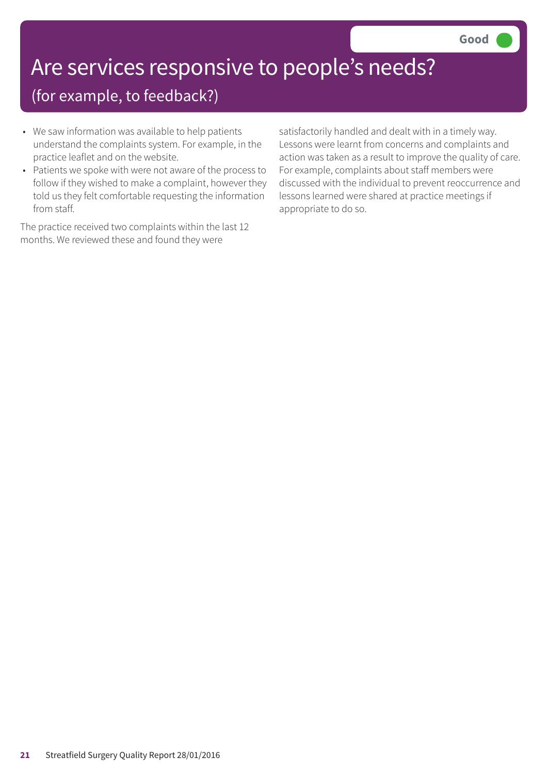# Are services responsive to people's needs?

### (for example, to feedback?)

- We saw information was available to help patients understand the complaints system. For example, in the practice leaflet and on the website.
- Patients we spoke with were not aware of the process to follow if they wished to make a complaint, however they told us they felt comfortable requesting the information from staff.

The practice received two complaints within the last 12 months. We reviewed these and found they were

satisfactorily handled and dealt with in a timely way. Lessons were learnt from concerns and complaints and action was taken as a result to improve the quality of care. For example, complaints about staff members were discussed with the individual to prevent reoccurrence and lessons learned were shared at practice meetings if appropriate to do so.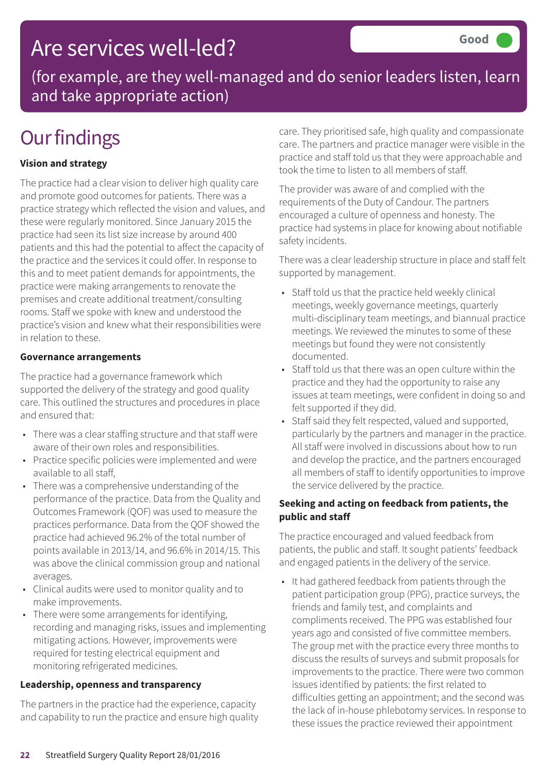### Are services well-led?

(for example, are they well-managed and do senior leaders listen, learn and take appropriate action)

# **Our findings**

#### **Vision and strategy**

The practice had a clear vision to deliver high quality care and promote good outcomes for patients. There was a practice strategy which reflected the vision and values, and these were regularly monitored. Since January 2015 the practice had seen its list size increase by around 400 patients and this had the potential to affect the capacity of the practice and the services it could offer. In response to this and to meet patient demands for appointments, the practice were making arrangements to renovate the premises and create additional treatment/consulting rooms. Staff we spoke with knew and understood the practice's vision and knew what their responsibilities were in relation to these.

#### **Governance arrangements**

The practice had a governance framework which supported the delivery of the strategy and good quality care. This outlined the structures and procedures in place and ensured that:

- There was a clear staffing structure and that staff were aware of their own roles and responsibilities.
- Practice specific policies were implemented and were available to all staff,
- There was a comprehensive understanding of the performance of the practice. Data from the Quality and Outcomes Framework (QOF) was used to measure the practices performance. Data from the QOF showed the practice had achieved 96.2% of the total number of points available in 2013/14, and 96.6% in 2014/15. This was above the clinical commission group and national averages.
- Clinical audits were used to monitor quality and to make improvements.
- There were some arrangements for identifying, recording and managing risks, issues and implementing mitigating actions. However, improvements were required for testing electrical equipment and monitoring refrigerated medicines.

#### **Leadership, openness and transparency**

The partners in the practice had the experience, capacity and capability to run the practice and ensure high quality care. They prioritised safe, high quality and compassionate care. The partners and practice manager were visible in the practice and staff told us that they were approachable and took the time to listen to all members of staff.

The provider was aware of and complied with the requirements of the Duty of Candour. The partners encouraged a culture of openness and honesty. The practice had systems in place for knowing about notifiable safety incidents.

There was a clear leadership structure in place and staff felt supported by management.

- Staff told us that the practice held weekly clinical meetings, weekly governance meetings, quarterly multi-disciplinary team meetings, and biannual practice meetings. We reviewed the minutes to some of these meetings but found they were not consistently documented.
- Staff told us that there was an open culture within the practice and they had the opportunity to raise any issues at team meetings, were confident in doing so and felt supported if they did.
- Staff said they felt respected, valued and supported, particularly by the partners and manager in the practice. All staff were involved in discussions about how to run and develop the practice, and the partners encouraged all members of staff to identify opportunities to improve the service delivered by the practice.

#### **Seeking and acting on feedback from patients, the public and staff**

The practice encouraged and valued feedback from patients, the public and staff. It sought patients' feedback and engaged patients in the delivery of the service.

• It had gathered feedback from patients through the patient participation group (PPG), practice surveys, the friends and family test, and complaints and compliments received. The PPG was established four years ago and consisted of five committee members. The group met with the practice every three months to discuss the results of surveys and submit proposals for improvements to the practice. There were two common issues identified by patients: the first related to difficulties getting an appointment; and the second was the lack of in-house phlebotomy services. In response to these issues the practice reviewed their appointment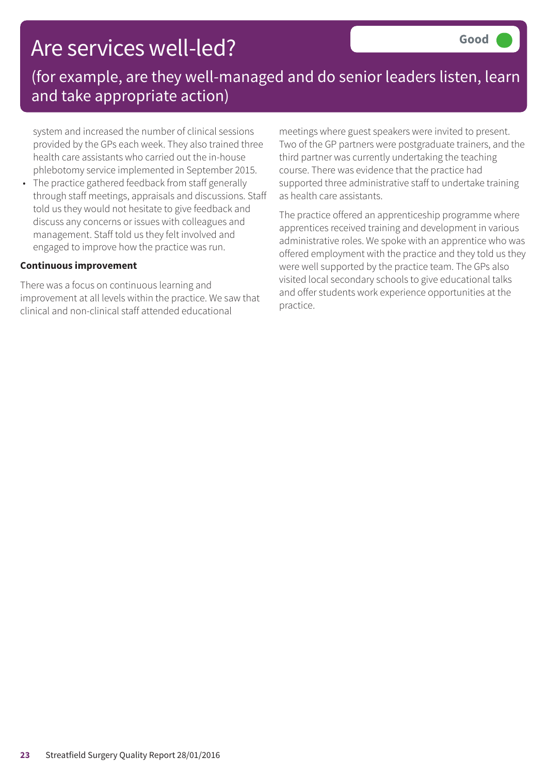### Are services well-led?

### (for example, are they well-managed and do senior leaders listen, learn and take appropriate action)

system and increased the number of clinical sessions provided by the GPs each week. They also trained three health care assistants who carried out the in-house phlebotomy service implemented in September 2015.

• The practice gathered feedback from staff generally through staff meetings, appraisals and discussions. Staff told us they would not hesitate to give feedback and discuss any concerns or issues with colleagues and management. Staff told us they felt involved and engaged to improve how the practice was run.

#### **Continuous improvement**

There was a focus on continuous learning and improvement at all levels within the practice. We saw that clinical and non-clinical staff attended educational

meetings where guest speakers were invited to present. Two of the GP partners were postgraduate trainers, and the third partner was currently undertaking the teaching course. There was evidence that the practice had supported three administrative staff to undertake training as health care assistants.

The practice offered an apprenticeship programme where apprentices received training and development in various administrative roles. We spoke with an apprentice who was offered employment with the practice and they told us they were well supported by the practice team. The GPs also visited local secondary schools to give educational talks and offer students work experience opportunities at the practice.